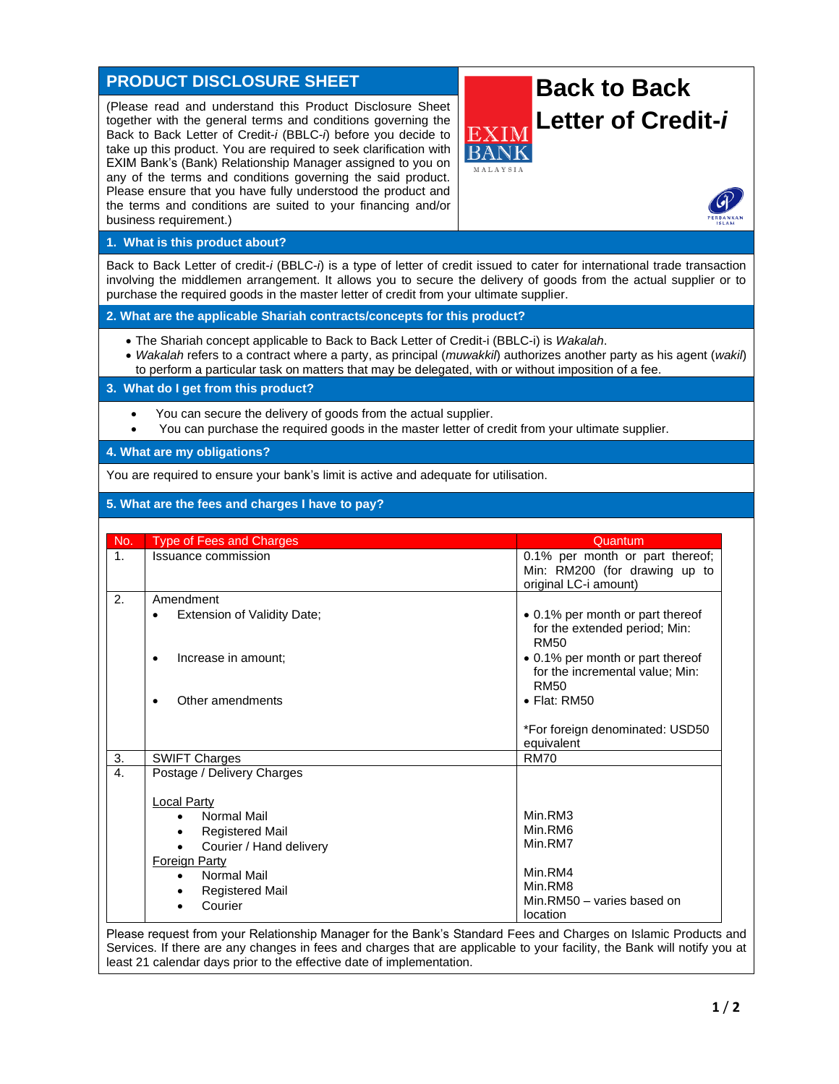# **PRODUCT DISCLOSURE SHEET**

(Please read and understand this Product Disclosure Sheet together with the general terms and conditions governing the Back to Back Letter of Credit-*i* (BBLC-*i*) before you decide to take up this product. You are required to seek clarification with EXIM Bank's (Bank) Relationship Manager assigned to you on any of the terms and conditions governing the said product. Please ensure that you have fully understood the product and the terms and conditions are suited to your financing and/or business requirement.)



## **1. What is this product about?**

Back to Back Letter of credit-*i* (BBLC-*i*) is a type of letter of credit issued to cater for international trade transaction involving the middlemen arrangement. It allows you to secure the delivery of goods from the actual supplier or to purchase the required goods in the master letter of credit from your ultimate supplier.

**2. What are the applicable Shariah contracts/concepts for this product?**

- The Shariah concept applicable to Back to Back Letter of Credit-i (BBLC-i) is *Wakalah*.
- *Wakalah* refers to a contract where a party, as principal (*muwakkil*) authorizes another party as his agent (*wakil*) to perform a particular task on matters that may be delegated, with or without imposition of a fee.

**3. What do I get from this product?**

- You can secure the delivery of goods from the actual supplier.
- You can purchase the required goods in the master letter of credit from your ultimate supplier.

#### **4. What are my obligations?**

You are required to ensure your bank's limit is active and adequate for utilisation.

# **5. What are the fees and charges I have to pay?**

| No.            | <b>Type of Fees and Charges</b>                       | Quantum                                                                                   |
|----------------|-------------------------------------------------------|-------------------------------------------------------------------------------------------|
| $\mathbf{1}$ . | Issuance commission                                   | 0.1% per month or part thereof;<br>Min: RM200 (for drawing up to<br>original LC-i amount) |
| 2.             | Amendment<br>Extension of Validity Date;<br>$\bullet$ | • 0.1% per month or part thereof                                                          |
|                |                                                       | for the extended period; Min:<br><b>RM50</b>                                              |
|                | Increase in amount:<br>٠                              | • 0.1% per month or part thereof<br>for the incremental value; Min:<br><b>RM50</b>        |
|                | Other amendments                                      | $\bullet$ Flat: RM50                                                                      |
|                |                                                       | *For foreign denominated: USD50<br>equivalent                                             |
| 3.             | <b>SWIFT Charges</b>                                  | <b>RM70</b>                                                                               |
| 4.             | Postage / Delivery Charges                            |                                                                                           |
|                | <b>Local Party</b>                                    |                                                                                           |
|                | Normal Mail<br>$\bullet$                              | Min.RM3                                                                                   |
|                | <b>Registered Mail</b>                                | Min.RM6                                                                                   |
|                | Courier / Hand delivery                               | Min.RM7                                                                                   |
|                | <b>Foreign Party</b>                                  |                                                                                           |
|                | Normal Mail<br>$\bullet$                              | Min.RM4                                                                                   |
|                | <b>Registered Mail</b>                                | Min.RM8                                                                                   |
|                | Courier                                               | Min.RM50 - varies based on<br>location                                                    |

Please request from your Relationship Manager for the Bank's Standard Fees and Charges on Islamic Products and Services. If there are any changes in fees and charges that are applicable to your facility, the Bank will notify you at least 21 calendar days prior to the effective date of implementation.